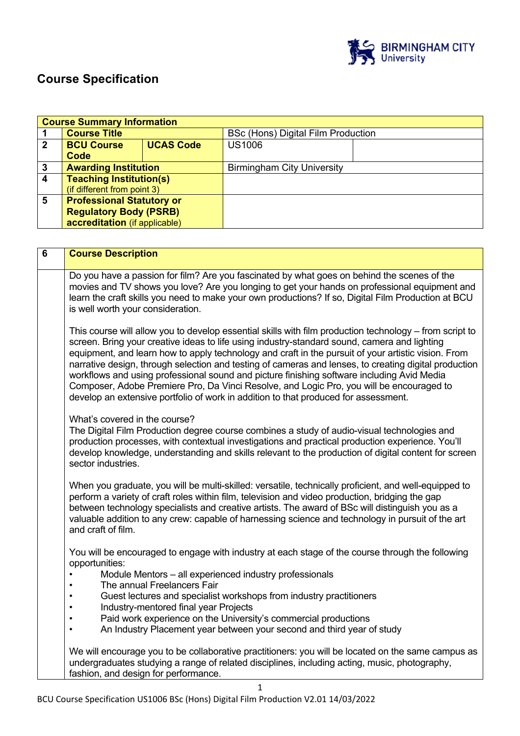

# **Course Specification**

|                  | <b>Course Summary Information</b>     |  |                                           |  |  |
|------------------|---------------------------------------|--|-------------------------------------------|--|--|
|                  | <b>Course Title</b>                   |  | <b>BSc (Hons) Digital Film Production</b> |  |  |
| $\mathbf{2}$     | <b>BCU Course</b><br><b>UCAS Code</b> |  | <b>US1006</b>                             |  |  |
|                  | Code                                  |  |                                           |  |  |
| 3                | <b>Awarding Institution</b>           |  | <b>Birmingham City University</b>         |  |  |
| $\boldsymbol{4}$ | <b>Teaching Institution(s)</b>        |  |                                           |  |  |
|                  | (if different from point 3)           |  |                                           |  |  |
| 5                | <b>Professional Statutory or</b>      |  |                                           |  |  |
|                  | <b>Regulatory Body (PSRB)</b>         |  |                                           |  |  |
|                  | accreditation (if applicable)         |  |                                           |  |  |

| $6\phantom{1}6$ | <b>Course Description</b>                                                                                                                                                                                                                                                                                                                                                                                                                                                                                                                                                                                                                                                                                |  |  |
|-----------------|----------------------------------------------------------------------------------------------------------------------------------------------------------------------------------------------------------------------------------------------------------------------------------------------------------------------------------------------------------------------------------------------------------------------------------------------------------------------------------------------------------------------------------------------------------------------------------------------------------------------------------------------------------------------------------------------------------|--|--|
|                 | Do you have a passion for film? Are you fascinated by what goes on behind the scenes of the<br>movies and TV shows you love? Are you longing to get your hands on professional equipment and<br>learn the craft skills you need to make your own productions? If so, Digital Film Production at BCU<br>is well worth your consideration.                                                                                                                                                                                                                                                                                                                                                                 |  |  |
|                 | This course will allow you to develop essential skills with film production technology - from script to<br>screen. Bring your creative ideas to life using industry-standard sound, camera and lighting<br>equipment, and learn how to apply technology and craft in the pursuit of your artistic vision. From<br>narrative design, through selection and testing of cameras and lenses, to creating digital production<br>workflows and using professional sound and picture finishing software including Avid Media<br>Composer, Adobe Premiere Pro, Da Vinci Resolve, and Logic Pro, you will be encouraged to<br>develop an extensive portfolio of work in addition to that produced for assessment. |  |  |
|                 | What's covered in the course?<br>The Digital Film Production degree course combines a study of audio-visual technologies and<br>production processes, with contextual investigations and practical production experience. You'll<br>develop knowledge, understanding and skills relevant to the production of digital content for screen<br>sector industries.                                                                                                                                                                                                                                                                                                                                           |  |  |
|                 | When you graduate, you will be multi-skilled: versatile, technically proficient, and well-equipped to<br>perform a variety of craft roles within film, television and video production, bridging the gap<br>between technology specialists and creative artists. The award of BSc will distinguish you as a<br>valuable addition to any crew: capable of harnessing science and technology in pursuit of the art<br>and craft of film.                                                                                                                                                                                                                                                                   |  |  |
|                 | You will be encouraged to engage with industry at each stage of the course through the following<br>opportunities:                                                                                                                                                                                                                                                                                                                                                                                                                                                                                                                                                                                       |  |  |
|                 | Module Mentors - all experienced industry professionals<br>The annual Freelancers Fair<br>$\bullet$                                                                                                                                                                                                                                                                                                                                                                                                                                                                                                                                                                                                      |  |  |
|                 | Guest lectures and specialist workshops from industry practitioners<br>$\bullet$                                                                                                                                                                                                                                                                                                                                                                                                                                                                                                                                                                                                                         |  |  |
|                 | Industry-mentored final year Projects<br>$\bullet$<br>Paid work experience on the University's commercial productions<br>$\bullet$                                                                                                                                                                                                                                                                                                                                                                                                                                                                                                                                                                       |  |  |
|                 | An Industry Placement year between your second and third year of study<br>$\bullet$                                                                                                                                                                                                                                                                                                                                                                                                                                                                                                                                                                                                                      |  |  |
|                 | We will encourage you to be collaborative practitioners: you will be located on the same campus as<br>undergraduates studying a range of related disciplines, including acting, music, photography,<br>fashion, and design for performance.                                                                                                                                                                                                                                                                                                                                                                                                                                                              |  |  |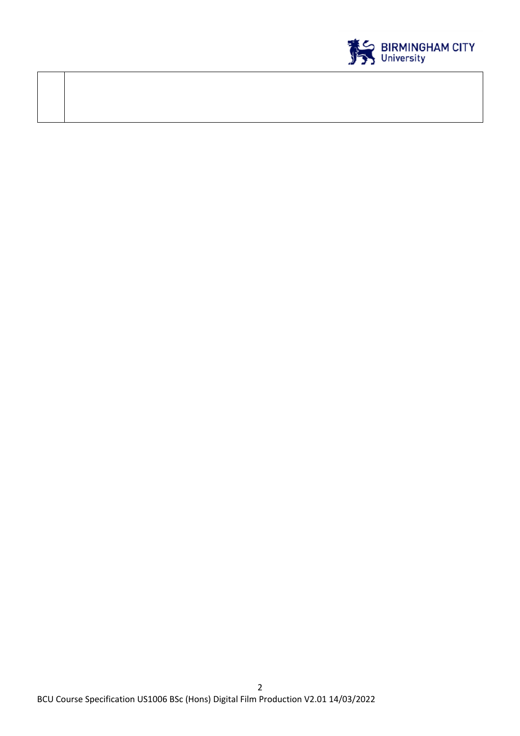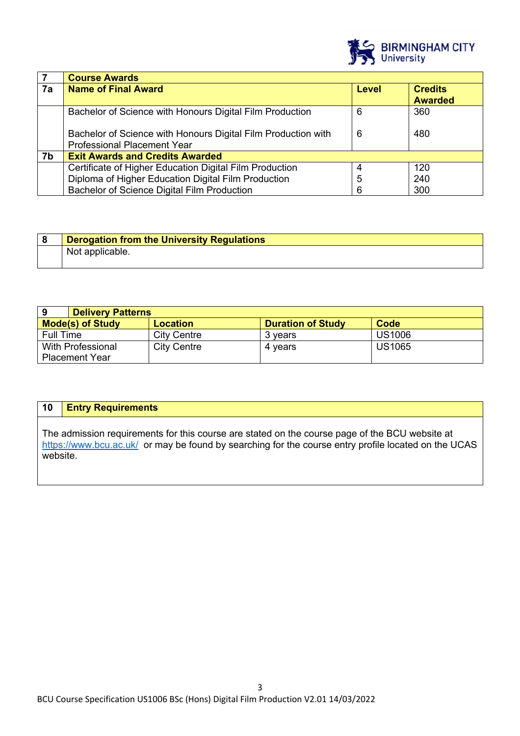

|    | <b>Course Awards</b>                                                                                |       |                |  |
|----|-----------------------------------------------------------------------------------------------------|-------|----------------|--|
| 7a | <b>Name of Final Award</b>                                                                          | Level | <b>Credits</b> |  |
|    |                                                                                                     |       | <b>Awarded</b> |  |
|    | Bachelor of Science with Honours Digital Film Production                                            | 6     | 360            |  |
|    | Bachelor of Science with Honours Digital Film Production with<br><b>Professional Placement Year</b> | 6     | 480            |  |
| 7b | <b>Exit Awards and Credits Awarded</b>                                                              |       |                |  |
|    | Certificate of Higher Education Digital Film Production                                             |       | 120            |  |
|    | Diploma of Higher Education Digital Film Production                                                 | 5     | 240            |  |
|    | Bachelor of Science Digital Film Production                                                         | 6     | 300            |  |

| <b>Derogation from the University Regulations</b> |
|---------------------------------------------------|
| Not applicable.                                   |

| 9                                                                       | <b>Delivery Patterns</b> |         |               |  |
|-------------------------------------------------------------------------|--------------------------|---------|---------------|--|
| <b>Mode(s) of Study</b><br>Code<br><b>Duration of Study</b><br>Location |                          |         |               |  |
| Full Time                                                               | <b>City Centre</b>       | 3 vears | <b>US1006</b> |  |
| With Professional                                                       | <b>City Centre</b>       | 4 vears | <b>US1065</b> |  |
| <b>Placement Year</b>                                                   |                          |         |               |  |

## **10 Entry Requirements**

The admission requirements for this course are stated on the course page of the BCU website at https://www.bcu.ac.uk/ or may be found by searching for the course entry profile located on the UCAS website.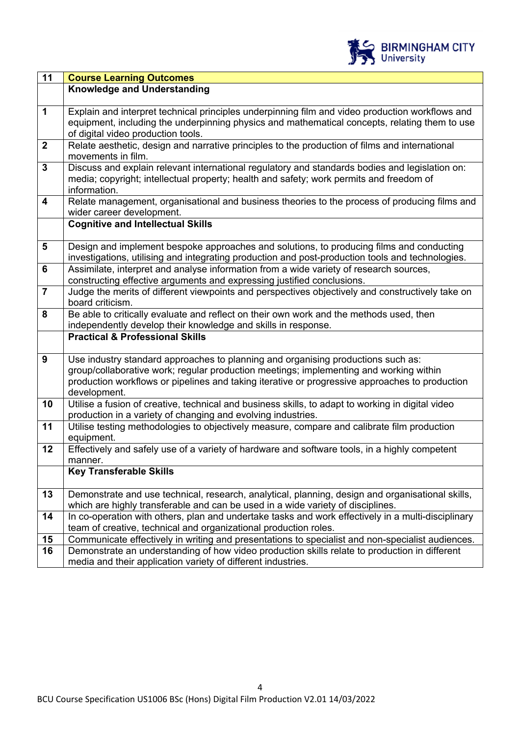

| $\overline{11}$         | <b>Course Learning Outcomes</b>                                                                                                                                            |  |  |
|-------------------------|----------------------------------------------------------------------------------------------------------------------------------------------------------------------------|--|--|
|                         | <b>Knowledge and Understanding</b>                                                                                                                                         |  |  |
|                         |                                                                                                                                                                            |  |  |
| $\mathbf 1$             | Explain and interpret technical principles underpinning film and video production workflows and                                                                            |  |  |
|                         | equipment, including the underpinning physics and mathematical concepts, relating them to use                                                                              |  |  |
| $\overline{2}$          | of digital video production tools.<br>Relate aesthetic, design and narrative principles to the production of films and international                                       |  |  |
|                         | movements in film.                                                                                                                                                         |  |  |
| $\mathbf{3}$            | Discuss and explain relevant international regulatory and standards bodies and legislation on:                                                                             |  |  |
|                         | media; copyright; intellectual property; health and safety; work permits and freedom of                                                                                    |  |  |
|                         | information.                                                                                                                                                               |  |  |
| $\overline{\mathbf{4}}$ | Relate management, organisational and business theories to the process of producing films and                                                                              |  |  |
|                         | wider career development.                                                                                                                                                  |  |  |
|                         | <b>Cognitive and Intellectual Skills</b>                                                                                                                                   |  |  |
|                         |                                                                                                                                                                            |  |  |
| $\sqrt{5}$              | Design and implement bespoke approaches and solutions, to producing films and conducting                                                                                   |  |  |
|                         | investigations, utilising and integrating production and post-production tools and technologies.                                                                           |  |  |
| $6\phantom{1}$          | Assimilate, interpret and analyse information from a wide variety of research sources,                                                                                     |  |  |
| $\overline{\mathbf{7}}$ | constructing effective arguments and expressing justified conclusions.<br>Judge the merits of different viewpoints and perspectives objectively and constructively take on |  |  |
|                         | board criticism.                                                                                                                                                           |  |  |
| 8                       | Be able to critically evaluate and reflect on their own work and the methods used, then                                                                                    |  |  |
|                         | independently develop their knowledge and skills in response.                                                                                                              |  |  |
|                         | <b>Practical &amp; Professional Skills</b>                                                                                                                                 |  |  |
|                         |                                                                                                                                                                            |  |  |
| 9                       | Use industry standard approaches to planning and organising productions such as:                                                                                           |  |  |
|                         | group/collaborative work; regular production meetings; implementing and working within                                                                                     |  |  |
|                         | production workflows or pipelines and taking iterative or progressive approaches to production                                                                             |  |  |
| 10                      | development.                                                                                                                                                               |  |  |
|                         | Utilise a fusion of creative, technical and business skills, to adapt to working in digital video<br>production in a variety of changing and evolving industries.          |  |  |
| 11                      | Utilise testing methodologies to objectively measure, compare and calibrate film production                                                                                |  |  |
|                         | equipment.                                                                                                                                                                 |  |  |
| 12                      | Effectively and safely use of a variety of hardware and software tools, in a highly competent                                                                              |  |  |
|                         | manner.                                                                                                                                                                    |  |  |
|                         | <b>Key Transferable Skills</b>                                                                                                                                             |  |  |
|                         |                                                                                                                                                                            |  |  |
| 13                      | Demonstrate and use technical, research, analytical, planning, design and organisational skills,                                                                           |  |  |
|                         | which are highly transferable and can be used in a wide variety of disciplines.                                                                                            |  |  |
| 14                      | In co-operation with others, plan and undertake tasks and work effectively in a multi-disciplinary                                                                         |  |  |
| 15                      | team of creative, technical and organizational production roles.<br>Communicate effectively in writing and presentations to specialist and non-specialist audiences.       |  |  |
| 16                      | Demonstrate an understanding of how video production skills relate to production in different                                                                              |  |  |
|                         | media and their application variety of different industries.                                                                                                               |  |  |
|                         |                                                                                                                                                                            |  |  |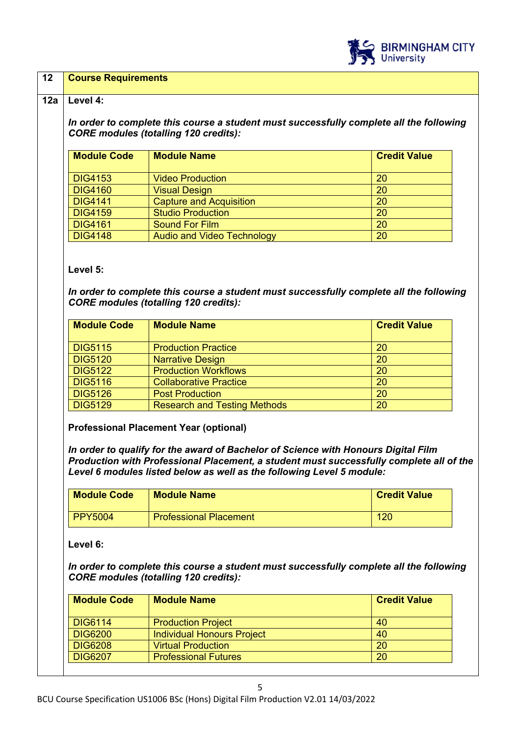

### **12 Course Requirements**

#### **12a Level 4:**

*In order to complete this course a student must successfully complete all the following CORE modules (totalling 120 credits):*

| <b>Module Code</b> | <b>Module Name</b>                | <b>Credit Value</b> |
|--------------------|-----------------------------------|---------------------|
| <b>DIG4153</b>     | <b>Video Production</b>           | 20                  |
| <b>DIG4160</b>     | <b>Visual Design</b>              | 20                  |
| <b>DIG4141</b>     | <b>Capture and Acquisition</b>    | 20                  |
| <b>DIG4159</b>     | <b>Studio Production</b>          | 20                  |
| <b>DIG4161</b>     | Sound For Film                    | 20                  |
| <b>DIG4148</b>     | <b>Audio and Video Technology</b> | 20                  |

**Level 5:**

*In order to complete this course a student must successfully complete all the following CORE modules (totalling 120 credits):*

| <b>Module Code</b> | <b>Module Name</b>                  | <b>Credit Value</b> |
|--------------------|-------------------------------------|---------------------|
| <b>DIG5115</b>     | <b>Production Practice</b>          | <b>20</b>           |
| <b>DIG5120</b>     | <b>Narrative Design</b>             | 20                  |
| <b>DIG5122</b>     | <b>Production Workflows</b>         | 20                  |
| <b>DIG5116</b>     | <b>Collaborative Practice</b>       | 20                  |
| <b>DIG5126</b>     | <b>Post Production</b>              | 20                  |
| <b>DIG5129</b>     | <b>Research and Testing Methods</b> | 20                  |

**Professional Placement Year (optional)**

*In order to qualify for the award of Bachelor of Science with Honours Digital Film Production with Professional Placement, a student must successfully complete all of the Level 6 modules listed below as well as the following Level 5 module:*

| <b>Module Code</b> | <b>Module Name</b>            | <b>Credit Value</b> |
|--------------------|-------------------------------|---------------------|
| <b>PPY5004</b>     | <b>Professional Placement</b> | 120                 |

**Level 6:**

*In order to complete this course a student must successfully complete all the following CORE modules (totalling 120 credits):*

| <b>Module Code</b><br><b>Module Name</b> |                                   | <b>Credit Value</b> |
|------------------------------------------|-----------------------------------|---------------------|
| <b>DIG6114</b>                           | <b>Production Project</b>         | 40                  |
| <b>DIG6200</b>                           | <b>Individual Honours Project</b> | 40                  |
| <b>DIG6208</b>                           | <b>Virtual Production</b>         | 20                  |
| <b>DIG6207</b>                           | <b>Professional Futures</b>       | 20                  |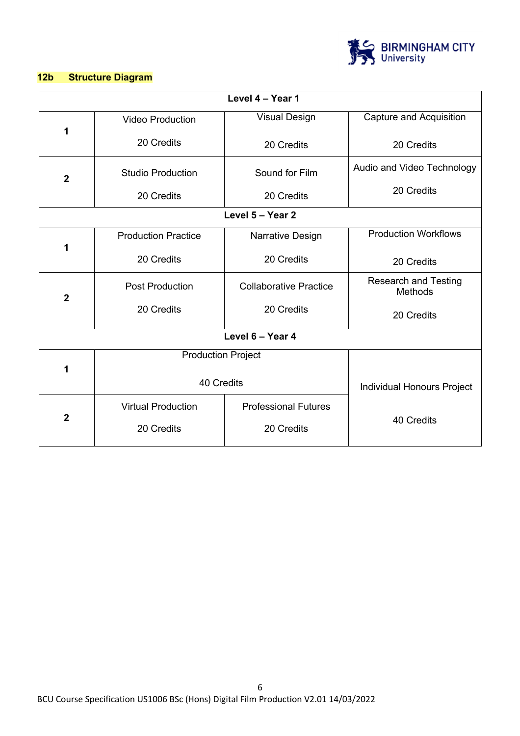

## **12b Structure Diagram**

| Level 4 - Year 1 |                            |                               |                                               |  |  |  |
|------------------|----------------------------|-------------------------------|-----------------------------------------------|--|--|--|
|                  | <b>Video Production</b>    | <b>Visual Design</b>          | <b>Capture and Acquisition</b>                |  |  |  |
| 1                | 20 Credits                 | 20 Credits                    | 20 Credits                                    |  |  |  |
| $\overline{2}$   | <b>Studio Production</b>   | Sound for Film                | Audio and Video Technology                    |  |  |  |
|                  | 20 Credits                 | 20 Credits                    | 20 Credits                                    |  |  |  |
|                  |                            | Level 5 - Year 2              |                                               |  |  |  |
|                  | <b>Production Practice</b> | Narrative Design              | <b>Production Workflows</b>                   |  |  |  |
| 1                | 20 Credits                 | 20 Credits                    | 20 Credits                                    |  |  |  |
| $\overline{2}$   | <b>Post Production</b>     | <b>Collaborative Practice</b> | <b>Research and Testing</b><br><b>Methods</b> |  |  |  |
|                  | 20 Credits                 | 20 Credits                    | 20 Credits                                    |  |  |  |
|                  | Level 6 - Year 4           |                               |                                               |  |  |  |
|                  | <b>Production Project</b>  |                               |                                               |  |  |  |
| 1                | 40 Credits                 |                               | Individual Honours Project                    |  |  |  |
|                  | <b>Virtual Production</b>  | <b>Professional Futures</b>   |                                               |  |  |  |
| $\overline{2}$   | 20 Credits                 | 20 Credits                    | 40 Credits                                    |  |  |  |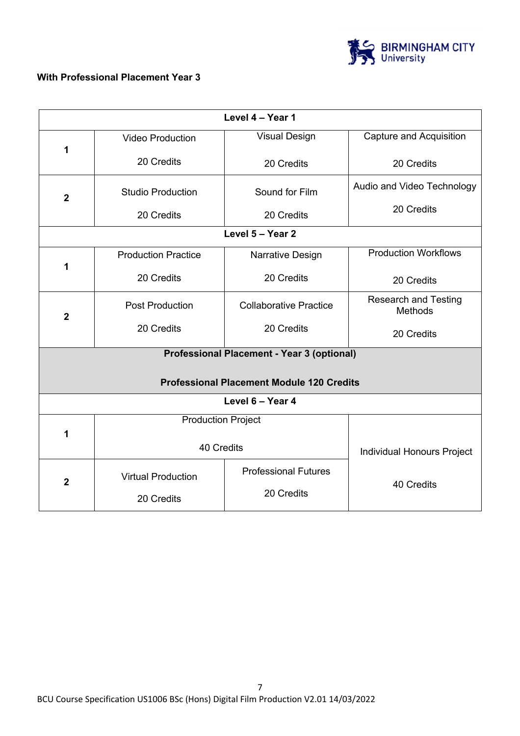

## **With Professional Placement Year 3**

| Level 4 - Year 1                                  |                            |                                                  |                                               |  |  |
|---------------------------------------------------|----------------------------|--------------------------------------------------|-----------------------------------------------|--|--|
|                                                   | <b>Video Production</b>    | <b>Visual Design</b>                             | Capture and Acquisition                       |  |  |
| 1                                                 | 20 Credits                 | 20 Credits                                       | 20 Credits                                    |  |  |
| $\mathbf{2}$                                      | <b>Studio Production</b>   | Sound for Film                                   | Audio and Video Technology                    |  |  |
|                                                   | 20 Credits                 | 20 Credits                                       | 20 Credits                                    |  |  |
|                                                   |                            | Level 5 - Year 2                                 |                                               |  |  |
|                                                   | <b>Production Practice</b> | Narrative Design                                 | <b>Production Workflows</b>                   |  |  |
| 1                                                 | 20 Credits                 | 20 Credits                                       | 20 Credits                                    |  |  |
| $\mathbf{2}$                                      | <b>Post Production</b>     | <b>Collaborative Practice</b>                    | <b>Research and Testing</b><br><b>Methods</b> |  |  |
|                                                   | 20 Credits                 | 20 Credits                                       | 20 Credits                                    |  |  |
| <b>Professional Placement - Year 3 (optional)</b> |                            |                                                  |                                               |  |  |
|                                                   |                            | <b>Professional Placement Module 120 Credits</b> |                                               |  |  |
| Level 6 - Year 4                                  |                            |                                                  |                                               |  |  |
| 1                                                 | <b>Production Project</b>  |                                                  |                                               |  |  |
|                                                   | 40 Credits                 |                                                  | Individual Honours Project                    |  |  |
|                                                   | <b>Virtual Production</b>  | <b>Professional Futures</b>                      |                                               |  |  |
| $\overline{2}$                                    | 20 Credits                 | 20 Credits                                       | 40 Credits                                    |  |  |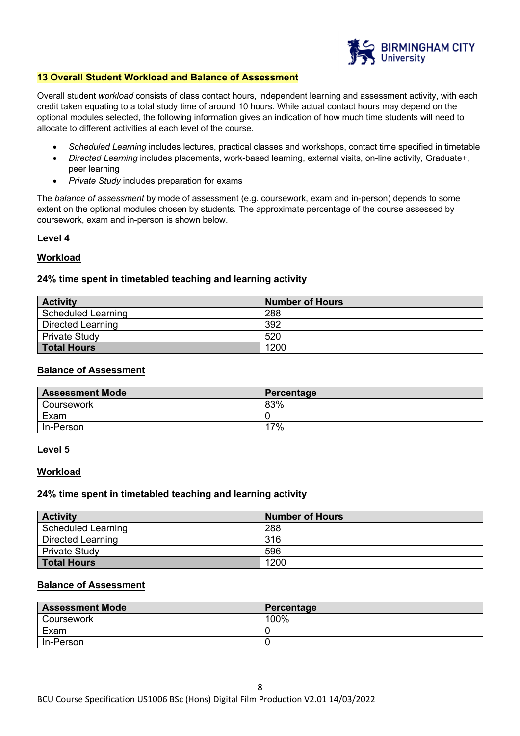

#### **13 Overall Student Workload and Balance of Assessment**

Overall student *workload* consists of class contact hours, independent learning and assessment activity, with each credit taken equating to a total study time of around 10 hours. While actual contact hours may depend on the optional modules selected, the following information gives an indication of how much time students will need to allocate to different activities at each level of the course.

- *Scheduled Learning* includes lectures, practical classes and workshops, contact time specified in timetable
- *Directed Learning* includes placements, work-based learning, external visits, on-line activity, Graduate+, peer learning
- *Private Study* includes preparation for exams

The *balance of assessment* by mode of assessment (e.g. coursework, exam and in-person) depends to some extent on the optional modules chosen by students. The approximate percentage of the course assessed by coursework, exam and in-person is shown below.

#### **Level 4**

#### **Workload**

### **24% time spent in timetabled teaching and learning activity**

| <b>Activity</b>      | <b>Number of Hours</b> |
|----------------------|------------------------|
| Scheduled Learning   | 288                    |
| Directed Learning    | 392                    |
| <b>Private Study</b> | 520                    |
| Total Hours          | 1200                   |

#### **Balance of Assessment**

| <b>Assessment Mode</b> | Percentage |
|------------------------|------------|
| Coursework             | 83%        |
| Exam                   |            |
| In-Person              | 17%        |

#### **Level 5**

#### **Workload**

#### **24% time spent in timetabled teaching and learning activity**

| <b>Activity</b>      | <b>Number of Hours</b> |
|----------------------|------------------------|
| Scheduled Learning   | 288                    |
| Directed Learning    | 316                    |
| <b>Private Study</b> | 596                    |
| <b>Total Hours</b>   | 1200                   |

### **Balance of Assessment**

| <b>Assessment Mode</b> | Percentage |
|------------------------|------------|
| Coursework             | 100%       |
| Exam                   |            |
| In-Person              |            |